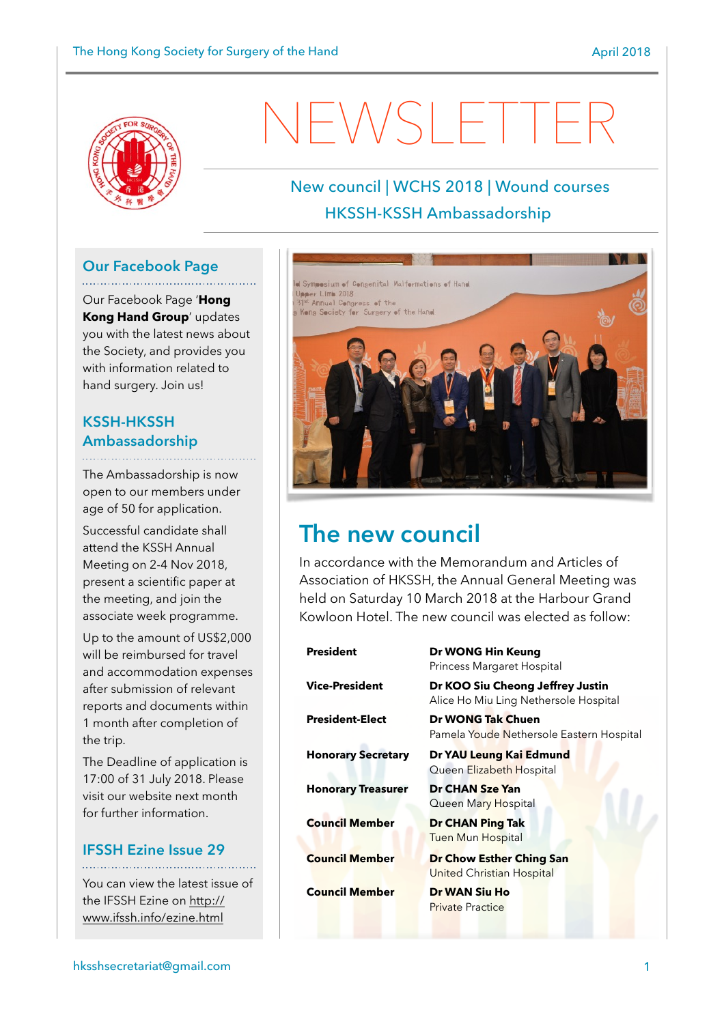

# EWSLETTE

## New council | WCHS 2018 | Wound courses HKSSH-KSSH Ambassadorship

## **Our Facebook Page**

Our Facebook Page '**Hong Kong Hand Group**' updates you with the latest news about the Society, and provides you with information related to hand surgery. Join us!

#### **KSSH-HKSSH Ambassadorship**

The Ambassadorship is now open to our members under age of 50 for application.

Successful candidate shall attend the KSSH Annual Meeting on 2-4 Nov 2018, present a scientific paper at the meeting, and join the associate week programme.

Up to the amount of US\$2,000 will be reimbursed for travel and accommodation expenses after submission of relevant reports and documents within 1 month after completion of the trip.

The Deadline of application is 17:00 of 31 July 2018. Please visit our website next month for further information.

#### **IFSSH Ezine Issue 29**

You can view the latest issue of [the IFSSH Ezine on http://](http://www.ifssh.info/ezine.html) [www.ifssh.info/ezine.html](http://www.ifssh.info/ezine.html)



# **The new council**

In accordance with the Memorandum and Articles of Association of HKSSH, the Annual General Meeting was held on Saturday 10 March 2018 at the Harbour Grand Kowloon Hotel. The new council was elected as follow:

| <b>President</b>          | Dr WONG Hin Keung<br>Princess Margaret Hospital                           |
|---------------------------|---------------------------------------------------------------------------|
| <b>Vice-President</b>     | Dr KOO Siu Cheong Jeffrey Justin<br>Alice Ho Miu Ling Nethersole Hospital |
| <b>President-Elect</b>    | Dr WONG Tak Chuen<br>Pamela Youde Nethersole Eastern Hospital             |
| <b>Honorary Secretary</b> | Dr YAU Leung Kai Edmund<br>Queen Elizabeth Hospital                       |
| <b>Honorary Treasurer</b> | Dr CHAN Sze Yan<br>Queen Mary Hospital                                    |
| <b>Council Member</b>     | Dr CHAN Ping Tak<br><b>Tuen Mun Hospital</b>                              |
| <b>Council Member</b>     | Dr Chow Esther Ching San<br>United Christian Hospital                     |
| <b>Council Member</b>     | Dr WAN Siu Ho<br><b>Private Practice</b>                                  |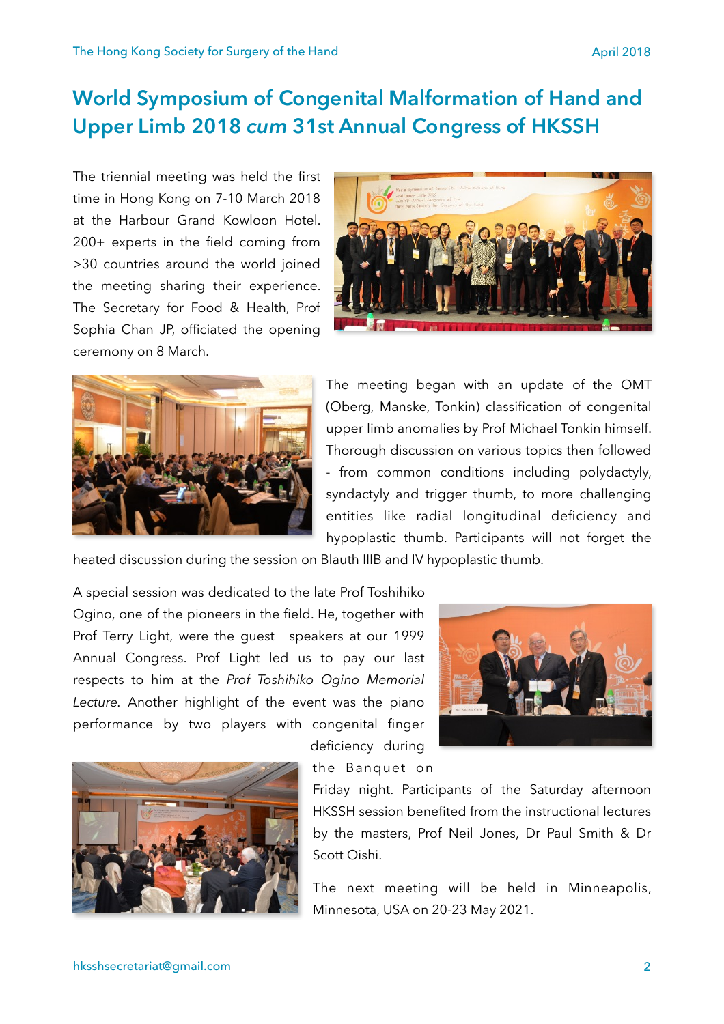# **World Symposium of Congenital Malformation of Hand and Upper Limb 2018** *cum* **31st Annual Congress of HKSSH**

The triennial meeting was held the first time in Hong Kong on 7-10 March 2018 at the Harbour Grand Kowloon Hotel. 200+ experts in the field coming from >30 countries around the world joined the meeting sharing their experience. The Secretary for Food & Health, Prof Sophia Chan JP, officiated the opening ceremony on 8 March.





The meeting began with an update of the OMT (Oberg, Manske, Tonkin) classification of congenital upper limb anomalies by Prof Michael Tonkin himself. Thorough discussion on various topics then followed - from common conditions including polydactyly, syndactyly and trigger thumb, to more challenging entities like radial longitudinal deficiency and hypoplastic thumb. Participants will not forget the

heated discussion during the session on Blauth IIIB and IV hypoplastic thumb.

A special session was dedicated to the late Prof Toshihiko Ogino, one of the pioneers in the field. He, together with Prof Terry Light, were the guest speakers at our 1999 Annual Congress. Prof Light led us to pay our last respects to him at the *Prof Toshihiko Ogino Memorial Lecture.* Another highlight of the event was the piano performance by two players with congenital finger





deficiency during the Banquet on

Friday night. Participants of the Saturday afternoon HKSSH session benefited from the instructional lectures by the masters, Prof Neil Jones, Dr Paul Smith & Dr Scott Oishi.

The next meeting will be held in Minneapolis, Minnesota, USA on 20-23 May 2021.